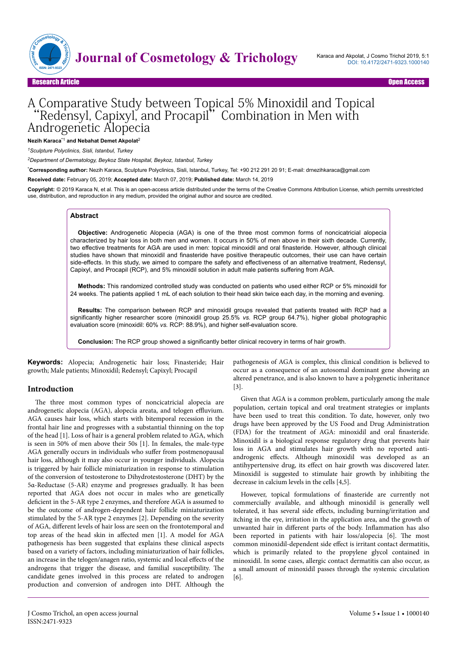

# Research Article Open Access

# A Comparative Study between Topical 5% Minoxidil and Topical 'Redensyl, Capixyl, and Procapil'' Combination in Men with Androgenetic Alopecia

**Nezih Karaca**\*1 **and Nebahat Demet Akpolat**<sup>2</sup>

*<sup>1</sup>Sculpture Polyclinics, Sisli, Istanbul, Turkey*

*<sup>2</sup>Department of Dermatology, Beykoz State Hospital, Beykoz, Istanbul, Turkey*

\***Corresponding author:** Nezih Karaca, Sculpture Polyclinics, Sisli, Istanbul, Turkey, Tel: +90 212 291 20 91; E-mail: drnezihkaraca@gmail.com

**Received date:** February 05, 2019; **Accepted date:** March 07, 2019; **Published date:** March 14, 2019

**Copyright:** © 2019 Karaca N, et al. This is an open-access article distributed under the terms of the Creative Commons Attribution License, which permits unrestricted use, distribution, and reproduction in any medium, provided the original author and source are credited.

#### **Abstract**

**Objective:** Androgenetic Alopecia (AGA) is one of the three most common forms of noncicatricial alopecia characterized by hair loss in both men and women. It occurs in 50% of men above in their sixth decade. Currently, two effective treatments for AGA are used in men: topical minoxidil and oral finasteride. However, although clinical studies have shown that minoxidil and finasteride have positive therapeutic outcomes, their use can have certain side-effects. In this study, we aimed to compare the safety and effectiveness of an alternative treatment, Redensyl, Capixyl, and Procapil (RCP), and 5% minoxidil solution in adult male patients suffering from AGA.

**Methods:** This randomized controlled study was conducted on patients who used either RCP or 5% minoxidil for 24 weeks. The patients applied 1 mL of each solution to their head skin twice each day, in the morning and evening.

**Results:** The comparison between RCP and minoxidil groups revealed that patients treated with RCP had a significantly higher researcher score (minoxidil group 25.5% *vs.* RCP group 64.7%), higher global photographic evaluation score (minoxidil: 60% *vs.* RCP: 88.9%), and higher self-evaluation score.

**Conclusion:** The RCP group showed a significantly better clinical recovery in terms of hair growth.

**Keywords:** Alopecia; Androgenetic hair loss; Finasteride; Hair growth; Male patients; Minoxidil; Redensyl; Capixyl; Procapil

#### **Introduction**

The three most common types of noncicatricial alopecia are androgenetic alopecia (AGA), alopecia areata, and telogen effluvium. AGA causes hair loss, which starts with bitemporal recession in the frontal hair line and progresses with a substantial thinning on the top of the head [1]. Loss of hair is a general problem related to AGA, which is seen in 50% of men above their 50s [1]. In females, the male-type AGA generally occurs in individuals who suffer from postmenopausal hair loss, although it may also occur in younger individuals. Alopecia is triggered by hair follicle miniaturization in response to stimulation of the conversion of testosterone to Dihydrotestosterone (DHT) by the 5α-Reductase (5-AR) enzyme and progresses gradually. It has been reported that AGA does not occur in males who are genetically deficient in the 5-AR type 2 enzymes, and therefore AGA is assumed to be the outcome of androgen-dependent hair follicle miniaturization stimulated by the 5-AR type 2 enzymes [2]. Depending on the severity of AGA, different levels of hair loss are seen on the frontotemporal and top areas of the head skin in affected men [1]. A model for AGA pathogenesis has been suggested that explains these clinical aspects based on a variety of factors, including miniaturization of hair follicles, an increase in the telogen/anagen ratio, systemic and local effects of the androgens that trigger the disease, and familial susceptibility. The candidate genes involved in this process are related to androgen production and conversion of androgen into DHT. Although the

pathogenesis of AGA is complex, this clinical condition is believed to occur as a consequence of an autosomal dominant gene showing an altered penetrance, and is also known to have a polygenetic inheritance [3].

Given that AGA is a common problem, particularly among the male population, certain topical and oral treatment strategies or implants have been used to treat this condition. To date, however, only two drugs have been approved by the US Food and Drug Administration (FDA) for the treatment of AGA: minoxidil and oral finasteride. Minoxidil is a biological response regulatory drug that prevents hair loss in AGA and stimulates hair growth with no reported antiandrogenic effects. Although minoxidil was developed as an antihypertensive drug, its effect on hair growth was discovered later. Minoxidil is suggested to stimulate hair growth by inhibiting the decrease in calcium levels in the cells [4,5].

However, topical formulations of finasteride are currently not commercially available, and although minoxidil is generally well tolerated, it has several side effects, including burning/irritation and itching in the eye, irritation in the application area, and the growth of unwanted hair in different parts of the body. Inflammation has also been reported in patients with hair loss/alopecia [6]. The most common minoxidil-dependent side effect is irritant contact dermatitis, which is primarily related to the propylene glycol contained in minoxidil. In some cases, allergic contact dermatitis can also occur, as a small amount of minoxidil passes through the systemic circulation [6].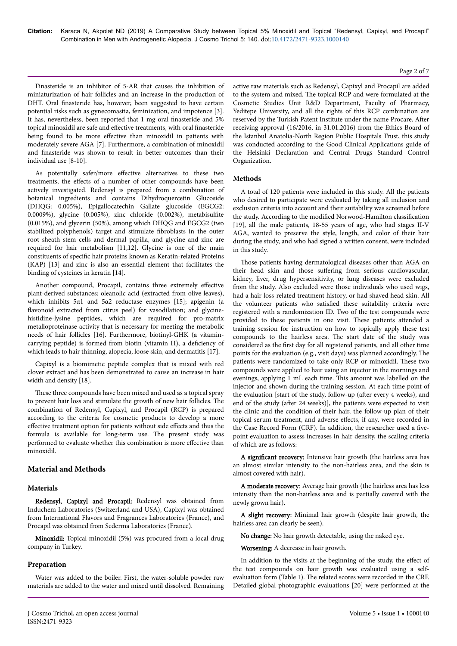#### Page 2 of 7

Finasteride is an inhibitor of 5-AR that causes the inhibition of miniaturization of hair follicles and an increase in the production of DHT. Oral finasteride has, however, been suggested to have certain potential risks such as gynecomastia, feminization, and impotence [3]. It has, nevertheless, been reported that 1 mg oral finasteride and 5% topical minoxidil are safe and effective treatments, with oral finasteride being found to be more effective than minoxidil in patients with moderately severe AGA [7]. Furthermore, a combination of minoxidil and finasteride was shown to result in better outcomes than their individual use [8-10].

As potentially safer/more effective alternatives to these two treatments, the effects of a number of other compounds have been actively investigated. Redensyl is prepared from a combination of botanical ingredients and contains Dihydroquercetin Glucoside (DHQG: 0.005%), Epigallocatechin Gallate glucoside (EGCG2: 0.0009%), glycine (0.005%), zinc chloride (0.002%), metabisulfite (0.015%), and glycerin (50%), among which DHQG and EGCG2 (two stabilized polyphenols) target and stimulate fibroblasts in the outer root sheath stem cells and dermal papilla, and glycine and zinc are required for hair metabolism [11,12]. Glycine is one of the main constituents of specific hair proteins known as Keratin-related Proteins (KAP) [13] and zinc is also an essential element that facilitates the binding of cysteines in keratin [14].

Another compound, Procapil, contains three extremely effective plant-derived substances: oleanolic acid (extracted from olive leaves), which inhibits 5α1 and 5α2 reductase enzymes [15]; apigenin (a flavonoid extracted from citrus peel) for vasodilation; and glycinehistidine-lysine peptides, which are required for pro-matrix metalloproteinase activity that is necessary for meeting the metabolic needs of hair follicles [16]. Furthermore, biotinyl-GHK (a vitamincarrying peptide) is formed from biotin (vitamin H), a deficiency of which leads to hair thinning, alopecia, loose skin, and dermatitis [17].

Capixyl is a biomimetic peptide complex that is mixed with red clover extract and has been demonstrated to cause an increase in hair width and density [18].

These three compounds have been mixed and used as a topical spray to prevent hair loss and stimulate the growth of new hair follicles. The combination of Redensyl, Capixyl, and Procapil (RCP) is prepared according to the criteria for cosmetic products to develop a more effective treatment option for patients without side effects and thus the formula is available for long-term use. The present study was performed to evaluate whether this combination is more effective than minoxidil.

# **Material and Methods**

#### **Materials**

Redensyl, Capixyl and Procapil: Redensyl was obtained from Induchem Laboratories (Switzerland and USA), Capixyl was obtained from International Flavors and Fragrances Laboratories (France), and Procapil was obtained from Sederma Laboratories (France).

Minoxidil: Topical minoxidil (5%) was procured from a local drug company in Turkey.

#### **Preparation**

Water was added to the boiler. First, the water-soluble powder raw materials are added to the water and mixed until dissolved. Remaining active raw materials such as Redensyl, Capixyl and Procapil are added to the system and mixed. The topical RCP and were formulated at the Cosmetic Studies Unit R&D Department, Faculty of Pharmacy, Yeditepe University, and all the rights of this RCP combination are reserved by the Turkish Patent Institute under the name Procare. After receiving approval (16/2016, in 31.01.2016) from the Ethics Board of the Istanbul Anatolia-North Region Public Hospitals Trust, this study was conducted according to the Good Clinical Applications guide of the Helsinki Declaration and Central Drugs Standard Control Organization.

### **Methods**

A total of 120 patients were included in this study. All the patients who desired to participate were evaluated by taking all inclusion and exclusion criteria into account and their suitability was screened before the study. According to the modified Norwood-Hamilton classification [19], all the male patients, 18-55 years of age, who had stages II-V AGA, wanted to preserve the style, length, and color of their hair during the study, and who had signed a written consent, were included in this study.

Those patients having dermatological diseases other than AGA on their head skin and those suffering from serious cardiovascular, kidney, liver, drug hypersensitivity, or lung diseases were excluded from the study. Also excluded were those individuals who used wigs, had a hair loss-related treatment history, or had shaved head skin. All the volunteer patients who satisfied these suitability criteria were registered with a randomization ID. Two of the test compounds were provided to these patients in one visit. These patients attended a training session for instruction on how to topically apply these test compounds to the hairless area. The start date of the study was considered as the first day for all registered patients, and all other time points for the evaluation (e.g., visit days) was planned accordingly. The patients were randomized to take only RCP or minoxidil. These two compounds were applied to hair using an injector in the mornings and evenings, applying 1 mL each time. This amount was labelled on the injector and shown during the training session. At each time point of the evaluation [start of the study, follow-up (after every 4 weeks), and end of the study (after 24 weeks)], the patients were expected to visit the clinic and the condition of their hair, the follow-up plan of their topical serum treatment, and adverse effects, if any, were recorded in the Case Record Form (CRF). In addition, the researcher used a fivepoint evaluation to assess increases in hair density, the scaling criteria of which are as follows:

A significant recovery: Intensive hair growth (the hairless area has an almost similar intensity to the non-hairless area, and the skin is almost covered with hair).

A moderate recovery: Average hair growth (the hairless area has less intensity than the non-hairless area and is partially covered with the newly grown hair).

A slight recovery: Minimal hair growth (despite hair growth, the hairless area can clearly be seen).

No change: No hair growth detectable, using the naked eye.

Worsening: A decrease in hair growth.

In addition to the visits at the beginning of the study, the effect of the test compounds on hair growth was evaluated using a selfevaluation form (Table 1). The related scores were recorded in the CRF. Detailed global photographic evaluations [20] were performed at the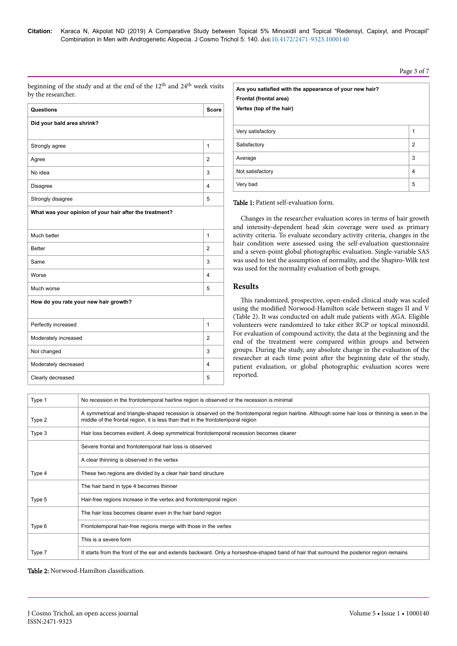beginning of the study and at the end of the 12<sup>th</sup> and 24<sup>th</sup> week visits by the researcher.

| Questions                                               | <b>Score</b>   |  |  |  |
|---------------------------------------------------------|----------------|--|--|--|
| Did your bald area shrink?                              |                |  |  |  |
|                                                         |                |  |  |  |
| Strongly agree                                          | 1              |  |  |  |
| Agree                                                   | $\overline{2}$ |  |  |  |
| No idea                                                 | 3              |  |  |  |
| <b>Disagree</b>                                         | $\overline{4}$ |  |  |  |
| Strongly disagree                                       | 5              |  |  |  |
| What was your opinion of your hair after the treatment? |                |  |  |  |
|                                                         |                |  |  |  |
| Much better                                             | $\mathbf{1}$   |  |  |  |
| <b>Better</b>                                           | $\overline{2}$ |  |  |  |
| Same                                                    | 3              |  |  |  |
| Worse                                                   | 4              |  |  |  |
| Much worse                                              | 5              |  |  |  |
| How do you rate your new hair growth?                   |                |  |  |  |
| Perfectly increased                                     | $\mathbf{1}$   |  |  |  |
|                                                         |                |  |  |  |
| Moderately increased                                    | $\overline{2}$ |  |  |  |
| Not changed                                             | 3              |  |  |  |
| Moderately decreased                                    | 4              |  |  |  |
| Clearly decreased                                       | 5              |  |  |  |

| Are you satisfied with the appearance of your new hair?<br>Frontal (frontal area)<br>Vertex (top of the hair) |                |
|---------------------------------------------------------------------------------------------------------------|----------------|
| Very satisfactory                                                                                             | 1              |
| Satisfactory                                                                                                  | $\overline{2}$ |
| Average                                                                                                       | 3              |
| Not satisfactory                                                                                              | $\overline{4}$ |
| Very bad                                                                                                      | 5              |

Table 1: Patient self-evaluation form.

Changes in the researcher evaluation scores in terms of hair growth and intensity-dependent head skin coverage were used as primary activity criteria. To evaluate secondary activity criteria, changes in the hair condition were assessed using the self-evaluation questionnaire and a seven-point global photographic evaluation. Single-variable SAS was used to test the assumption of normality, and the Shapiro-Wilk test was used for the normality evaluation of both groups.

# **Results**

This randomized, prospective, open-ended clinical study was scaled using the modified Norwood-Hamilton scale between stages II and V (Table 2). It was conducted on adult male patients with AGA. Eligible volunteers were randomized to take either RCP or topical minoxidil. For evaluation of compound activity, the data at the beginning and the end of the treatment were compared within groups and between groups. During the study, any absolute change in the evaluation of the researcher at each time point after the beginning date of the study, patient evaluation, or global photographic evaluation scores were reported.

| Type 1 | No recession in the frontotemporal hairline region is observed or the recession is minimal                                                                                                                                           |
|--------|--------------------------------------------------------------------------------------------------------------------------------------------------------------------------------------------------------------------------------------|
| Type 2 | A symmetrical and triangle-shaped recession is observed on the frontotemporal region hairline. Although some hair loss or thinning is seen in the<br>middle of the frontal region, it is less than that in the frontotemporal region |
| Type 3 | Hair loss becomes evident. A deep symmetrical frontotemporal recession becomes clearer                                                                                                                                               |
|        | Severe frontal and frontotemporal hair loss is observed                                                                                                                                                                              |
|        | A clear thinning is observed in the vertex                                                                                                                                                                                           |
| Type 4 | These two regions are divided by a clear hair band structure                                                                                                                                                                         |
|        | The hair band in type 4 becomes thinner                                                                                                                                                                                              |
| Type 5 | Hair-free regions increase in the vertex and frontotemporal region                                                                                                                                                                   |
|        | The hair loss becomes clearer even in the hair band region                                                                                                                                                                           |
| Type 6 | Frontotemporal hair-free regions merge with those in the vertex                                                                                                                                                                      |
|        | This is a severe form                                                                                                                                                                                                                |
| Type 7 | It starts from the front of the ear and extends backward. Only a horseshoe-shaped band of hair that surround the posterior region remains                                                                                            |

Table 2: Norwood-Hamilton classification.

#### Page 3 of 7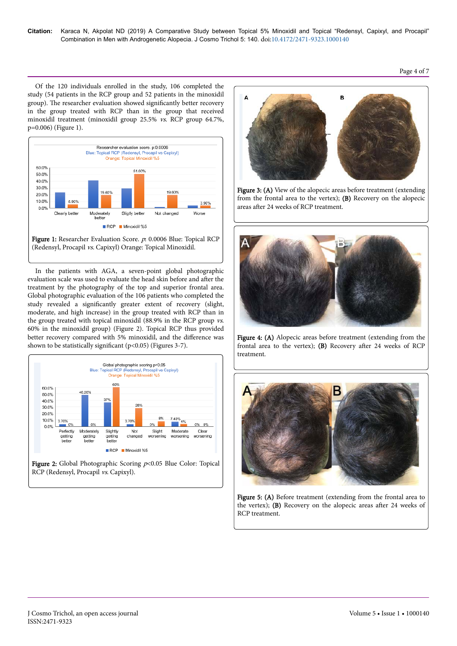Page 4 of 7

Of the 120 individuals enrolled in the study, 106 completed the study (54 patients in the RCP group and 52 patients in the minoxidil group). The researcher evaluation showed significantly better recovery in the group treated with RCP than in the group that received minoxidil treatment (minoxidil group 25.5% vs. RCP group 64.7%, p=0.006) (Figure 1).



In the patients with AGA, a seven-point global photographic evaluation scale was used to evaluate the head skin before and after the treatment by the photography of the top and superior frontal area. Global photographic evaluation of the 106 patients who completed the study revealed a significantly greater extent of recovery (slight, moderate, and high increase) in the group treated with RCP than in the group treated with topical minoxidil (88.9% in the RCP group vs. 60% in the minoxidil group) (Figure 2). Topical RCP thus provided better recovery compared with 5% minoxidil, and the difference was shown to be statistically significant (p<0.05) (Figures 3-7).





Figure 3: (A) View of the alopecic areas before treatment (extending from the frontal area to the vertex); (B) Recovery on the alopecic areas after 24 weeks of RCP treatment.



Figure 4: (A) Alopecic areas before treatment (extending from the frontal area to the vertex); (B) Recovery after 24 weeks of RCP treatment.



Figure 5: (A) Before treatment (extending from the frontal area to the vertex); (B) Recovery on the alopecic areas after 24 weeks of RCP treatment.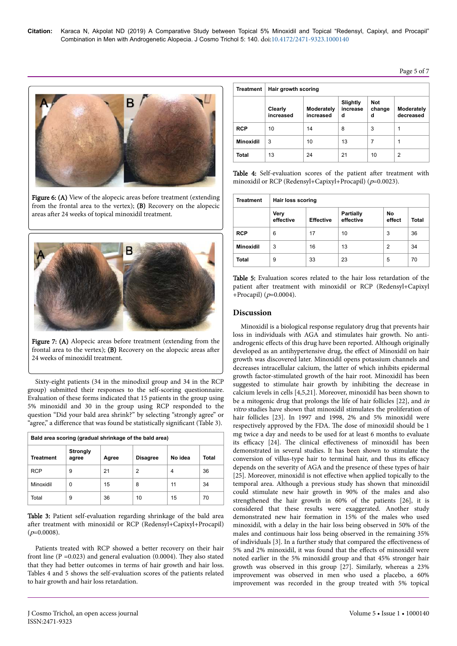# Page 5 of 7



Figure 6: (A) View of the alopecic areas before treatment (extending from the frontal area to the vertex); (B) Recovery on the alopecic areas after 24 weeks of topical minoxidil treatment.

![](_page_4_Figure_4.jpeg)

Figure 7: (A) Alopecic areas before treatment (extending from the frontal area to the vertex); (B) Recovery on the alopecic areas after 24 weeks of minoxidil treatment.

Sixty-eight patients (34 in the minodixil group and 34 in the RCP group) submitted their responses to the self-scoring questionnaire. Evaluation of these forms indicated that 15 patients in the group using 5% minoxidil and 30 in the group using RCP responded to the question "Did your bald area shrink?" by selecting "strongly agree" or "agree," a difference that was found be statistically significant (Table 3).

| Bald area scoring (gradual shrinkage of the bald area) |                          |       |                 |         |       |
|--------------------------------------------------------|--------------------------|-------|-----------------|---------|-------|
| Treatment                                              | <b>Strongly</b><br>agree | Agree | <b>Disagree</b> | No idea | Total |
| <b>RCP</b>                                             | 9                        | 21    | 2               | 4       | 36    |
| Minoxidil                                              | 0                        | 15    | 8               | 11      | 34    |
| Total                                                  | 9                        | 36    | 10              | 15      | 70    |

Table 3: Patient self-evaluation regarding shrinkage of the bald area after treatment with minoxidil or RCP (Redensyl+Capixyl+Procapil)  $(p=0.0008)$ .

Patients treated with RCP showed a better recovery on their hair front line ( $P = 0.023$ ) and general evaluation (0.0004). They also stated that they had better outcomes in terms of hair growth and hair loss. Tables 4 and 5 shows the self-evaluation scores of the patients related to hair growth and hair loss retardation.

| <b>Treatment</b> | Hair growth scoring  |                         |                           |                           |                         |
|------------------|----------------------|-------------------------|---------------------------|---------------------------|-------------------------|
|                  | Clearly<br>increased | Moderately<br>increased | Slightly<br>increase<br>d | <b>Not</b><br>change<br>d | Moderately<br>decreased |
| <b>RCP</b>       | 10                   | 14                      | 8                         | 3                         |                         |
| <b>Minoxidil</b> | 3                    | 10                      | 13                        | 7                         |                         |
| <b>Total</b>     | 13                   | 24                      | 21                        | 10                        | 2                       |

Table 4: Self-evaluation scores of the patient after treatment with minoxidil or RCP (Redensyl+Capixyl+Procapil) ( $p=0.0023$ ).

| <b>Treatment</b> | Hair loss scoring |                  |                               |              |       |
|------------------|-------------------|------------------|-------------------------------|--------------|-------|
|                  | Very<br>effective | <b>Effective</b> | <b>Partially</b><br>effective | No<br>effect | Total |
| <b>RCP</b>       | 6                 | 17               | 10                            | 3            | 36    |
| <b>Minoxidil</b> | 3                 | 16               | 13                            | 2            | 34    |
| Total            | 9                 | 33               | 23                            | 5            | 70    |

Table 5: Evaluation scores related to the hair loss retardation of the patient after treatment with minoxidil or RCP (Redensyl+Capixyl +Procapil) (p=0.0004).

# **Discussion**

Minoxidil is a biological response regulatory drug that prevents hair loss in individuals with AGA and stimulates hair growth. No antiandrogenic effects of this drug have been reported. Although originally developed as an antihypertensive drug, the effect of Minoxidil on hair growth was discovered later. Minoxidil opens potassium channels and decreases intracellular calcium, the latter of which inhibits epidermal growth factor-stimulated growth of the hair root. Minoxidil has been suggested to stimulate hair growth by inhibiting the decrease in calcium levels in cells [4,5,21]. Moreover, minoxidil has been shown to be a mitogenic drug that prolongs the life of hair follicles [22], and in vitro studies have shown that minoxidil stimulates the proliferation of hair follicles [23]. In 1997 and 1998, 2% and 5% minoxidil were respectively approved by the FDA. The dose of minoxidil should be 1 mg twice a day and needs to be used for at least 6 months to evaluate its efficacy [24]. The clinical effectiveness of minoxidil has been demonstrated in several studies. It has been shown to stimulate the conversion of villus-type hair to terminal hair, and thus its efficacy depends on the severity of AGA and the presence of these types of hair [25]. Moreover, minoxidil is not effective when applied topically to the temporal area. Although a previous study has shown that minoxidil could stimulate new hair growth in 90% of the males and also strengthened the hair growth in 60% of the patients [26], it is considered that these results were exaggerated. Another study demonstrated new hair formation in 15% of the males who used minoxidil, with a delay in the hair loss being observed in 50% of the males and continuous hair loss being observed in the remaining 35% of individuals [3]. In a further study that compared the effectiveness of 5% and 2% minoxidil, it was found that the effects of minoxidil were noted earlier in the 5% minoxidil group and that 45% stronger hair growth was observed in this group [27]. Similarly, whereas a 23% improvement was observed in men who used a placebo, a 60% improvement was recorded in the group treated with 5% topical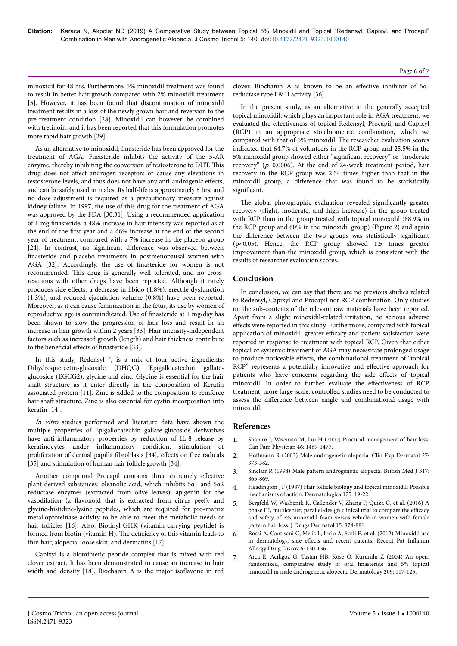minoxidil for 48 hrs. Furthermore, 5% minoxidil treatment was found to result in better hair growth compared with 2% minoxidil treatment [5]. However, it has been found that discontinuation of minoxidil treatment results in a loss of the newly grown hair and reversion to the pre-treatment condition [28]. Minoxidil can however, be combined with tretinoin, and it has been reported that this formulation promotes more rapid hair growth [29].

As an alternative to minoxidil, finasteride has been approved for the treatment of AGA. Finasteride inhibits the activity of the 5-AR enzyme, thereby inhibiting the conversion of testosterone to DHT. This drug does not affect androgen receptors or cause any elevations in testosterone levels, and thus does not have any anti-androgenic effects, and can be safely used in males. Its half-life is approximately 8 hrs, and no dose adjustment is required as a precautionary measure against kidney failure. In 1997, the use of this drug for the treatment of AGA was approved by the FDA [30,31]. Using a recommended application of 1 mg finasteride, a 48% increase in hair intensity was reported as at the end of the first year and a 66% increase at the end of the second year of treatment, compared with a 7% increase in the placebo group [24]. In contrast, no significant difference was observed between finasteride and placebo treatments in postmenopausal women with AGA [32]. Accordingly, the use of finasteride for women is not recommended. This drug is generally well tolerated, and no crossreactions with other drugs have been reported. Although it rarely produces side effects, a decrease in libido (1.8%), erectile dysfunction (1.3%), and reduced ejaculation volume (0.8%) have been reported. Moreover, as it can cause feminization in the fetus, its use by women of reproductive age is contraindicated. Use of finasteride at 1 mg/day has been shown to slow the progression of hair loss and result in an increase in hair growth within 2 years [33]. Hair intensity-independent factors such as increased growth (length) and hair thickness contribute to the beneficial effects of finasteride [33].

In this study, Redensyl<sup>®</sup>, is a mix of four active ingredients: Dihydroquercetin-glucoside (DHQG), Epigallocatechin gallateglucoside (EGCG2), glycine and zinc. Glycine is essential for the hair shaft structure as it enter directly in the composition of Keratin associated protein [11]. Zinc is added to the composition to reinforce hair shaft structure. Zinc is also essential for cystin incorporation into keratin [14].

In vitro studies performed and literature data have shown the multiple properties of Epigallocatechin gallate-glucoside derivatives have anti-inflammatory properties by reduction of IL-8 release by keratinocytes under inflammatory condition, stimulation of proliferation of dermal papilla fibroblasts [34], effects on free radicals [35] and stimulation of human hair follicle growth [34].

Another compound Procapil contains three extremely effective plant-derived substances: oleanolic acid, which inhibits 5α1 and 5α2 reductase enzymes (extracted from olive leaves); apigenin for the vasodilation (a flavonoid that is extracted from citrus peel); and glycine-histidine-lysine peptides, which are required for pro-matrix metalloproteinase activity to be able to meet the metabolic needs of hair follicles [16]. Also, Biotinyl-GHK (vitamin-carrying peptide) is formed from biotin (vitamin H). The deficiency of this vitamin leads to thin hair, alopecia, loose skin, and dermatitis [17].

Capixyl is a biomimetic peptide complex that is mixed with red clover extract. It has been demonstrated to cause an increase in hair width and density [18]. Biochanin A is the major isoflavone in red

clover. Biochanin A is known to be an effective inhibitor of 5αreductase type I & II activity [36].

In the present study, as an alternative to the generally accepted topical minoxidil, which plays an important role in AGA treatment, we evaluated the effectiveness of topical Redensyl, Procapil, and Capixyl (RCP) in an appropriate stoichiometric combination, which we compared with that of 5% minoxidil. The researcher evaluation scores indicated that 64.7% of volunteers in the RCP group and 25.5% in the 5% minoxidil group showed either "significant recovery" or "moderate recovery" ( $p=0.0006$ ). At the end of 24-week treatment period, hair recovery in the RCP group was 2.54 times higher than that in the minoxidil group, a difference that was found to be statistically significant.

The global photographic evaluation revealed significantly greater recovery (slight, moderate, and high increase) in the group treated with RCP than in the group treated with topical minoxidil (88.9% in the RCP group and 60% in the minoxidil group) (Figure 2) and again the difference between the two groups was statistically significant (p<0.05). Hence, the RCP group showed 1.5 times greater improvement than the minoxidil group, which is consistent with the results of researcher evaluation scores.

### **Conclusion**

In conclusion, we can say that there are no previous studies related to Redensyl, Capixyl and Procapil nor RCP combination. Only studies on the sub-contents of the relevant raw materials have been reported. Apart from a slight minoxidil-related irritation, no serious adverse effects were reported in this study. Furthermore, compared with topical application of minoxidil, greater efficacy and patient satisfaction were reported in response to treatment with topical RCP. Given that either topical or systemic treatment of AGA may necessitate prolonged usage to produce noticeable effects, the combinational treatment of "topical RCP" represents a potentially innovative and effective approach for patients who have concerns regarding the side effects of topical minoxidil. In order to further evaluate the effectiveness of RCP treatment, more large-scale, controlled studies need to be conducted to assess the difference between single and combinational usage with minoxidil.

#### **References**

- 1. [Shapiro J, Wiseman M, Lui H \(2000\) Practical management of hair loss.](https://www.ncbi.nlm.nih.gov/pmc/articles/PMC2144852/) [Can Fam Physician 46: 1469-1477.](https://www.ncbi.nlm.nih.gov/pmc/articles/PMC2144852/)
- 2. Hoffmann [R \(2002\) Male androgenetic alopecia. Clin Exp Dermatol 27:](https://onlinelibrary.wiley.com/doi/abs/10.1046/j.1365-2230.2002.01086.x) [373-382.](https://onlinelibrary.wiley.com/doi/abs/10.1046/j.1365-2230.2002.01086.x)
- 3. [Sinclair R \(1998\) Male pattern androgenetic alopecia. British Med J 317:](https://www.ncbi.nlm.nih.gov/pmc/articles/PMC1113949/) [865-869.](https://www.ncbi.nlm.nih.gov/pmc/articles/PMC1113949/)
- 4. [Headington JT \(1987\) Hair follicle biology and topical minoxidil: Possible](https://www.ncbi.nlm.nih.gov/pubmed/3319729) [mechanisms of action. Dermatologica 175: 19-22.](https://www.ncbi.nlm.nih.gov/pubmed/3319729)
- 5. [Bergfeld W, Washenik K, Callender V, Zhang P, Quiza C, et al. \(2016\) A](https://www.ncbi.nlm.nih.gov/pubmed/27391639) [phase III, multicenter, parallel-design clinical trial to compare the](https://www.ncbi.nlm.nih.gov/pubmed/27391639) efficacy [and safety of 5% minoxidil foam versus vehicle in women with female](https://www.ncbi.nlm.nih.gov/pubmed/27391639) [pattern hair loss. J Drugs Dermatol 15: 874-881.](https://www.ncbi.nlm.nih.gov/pubmed/27391639)
- 6. [Rossi A, Cantisani C, Melis L, Iorio A, Scali E, et al. \(2012\) Minoxidil use](https://www.ncbi.nlm.nih.gov/pubmed/22409453) in dermatology, side effects [and recent patents. Recent Pat](https://www.ncbi.nlm.nih.gov/pubmed/22409453) Inflamm [Allergy Drug Discov 6: 130-136.](https://www.ncbi.nlm.nih.gov/pubmed/22409453)
- 7. [Arca E, Acikgoz G, Tastan HB, Köse O, Kurumlu Z \(2004\) An open,](https://www.ncbi.nlm.nih.gov/pubmed/15316165) [randomized, comparative study of oral](https://www.ncbi.nlm.nih.gov/pubmed/15316165) finasteride and 5% topical [minoxidil in male androgenetic alopecia. Dermatology 209: 117-125.](https://www.ncbi.nlm.nih.gov/pubmed/15316165)